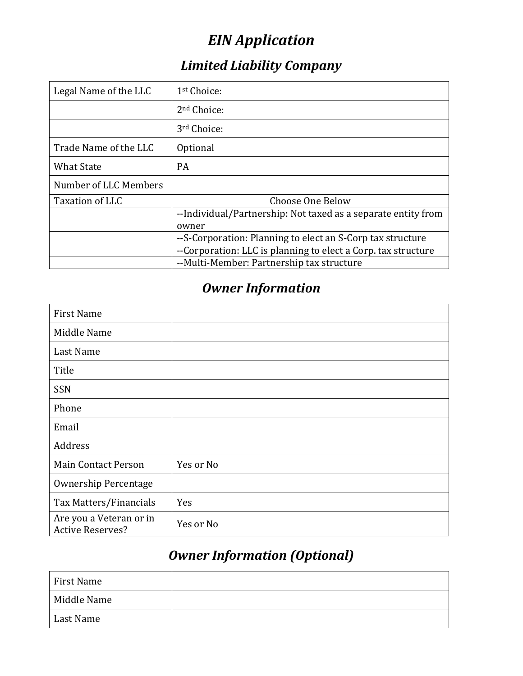# *EIN Application*

## *Limited Liability Company*

| Legal Name of the LLC | 1 <sup>st</sup> Choice:                                       |  |
|-----------------------|---------------------------------------------------------------|--|
|                       | 2 <sup>nd</sup> Choice:                                       |  |
|                       | 3rd Choice:                                                   |  |
| Trade Name of the LLC | Optional                                                      |  |
| <b>What State</b>     | <b>PA</b>                                                     |  |
| Number of LLC Members |                                                               |  |
| Taxation of LLC       | Choose One Below                                              |  |
|                       | --Individual/Partnership: Not taxed as a separate entity from |  |
|                       | owner                                                         |  |
|                       | --S-Corporation: Planning to elect an S-Corp tax structure    |  |
|                       | --Corporation: LLC is planning to elect a Corp. tax structure |  |
|                       | --Multi-Member: Partnership tax structure                     |  |

## *Owner Information*

| <b>First Name</b>                                  |           |
|----------------------------------------------------|-----------|
| Middle Name                                        |           |
| Last Name                                          |           |
| Title                                              |           |
| SSN                                                |           |
| Phone                                              |           |
| Email                                              |           |
| Address                                            |           |
| <b>Main Contact Person</b>                         | Yes or No |
| <b>Ownership Percentage</b>                        |           |
| Tax Matters/Financials                             | Yes       |
| Are you a Veteran or in<br><b>Active Reserves?</b> | Yes or No |

## *Owner Information (Optional)*

| First Name  |  |
|-------------|--|
| Middle Name |  |
| Last Name   |  |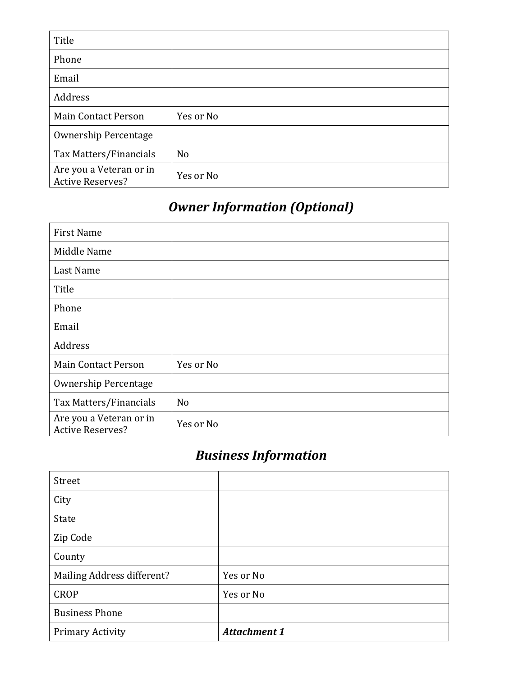| Title                                              |                |
|----------------------------------------------------|----------------|
| Phone                                              |                |
| Email                                              |                |
| Address                                            |                |
| <b>Main Contact Person</b>                         | Yes or No      |
| <b>Ownership Percentage</b>                        |                |
| Tax Matters/Financials                             | N <sub>o</sub> |
| Are you a Veteran or in<br><b>Active Reserves?</b> | Yes or No      |

# *Owner Information (Optional)*

| <b>First Name</b>                                  |                |
|----------------------------------------------------|----------------|
| Middle Name                                        |                |
| Last Name                                          |                |
| Title                                              |                |
| Phone                                              |                |
| Email                                              |                |
| Address                                            |                |
| <b>Main Contact Person</b>                         | Yes or No      |
| <b>Ownership Percentage</b>                        |                |
| Tax Matters/Financials                             | N <sub>o</sub> |
| Are you a Veteran or in<br><b>Active Reserves?</b> | Yes or No      |

# *Business Information*

| Street                     |                     |
|----------------------------|---------------------|
| City                       |                     |
| State                      |                     |
| Zip Code                   |                     |
| County                     |                     |
| Mailing Address different? | Yes or No           |
| <b>CROP</b>                | Yes or No           |
| <b>Business Phone</b>      |                     |
| Primary Activity           | <b>Attachment 1</b> |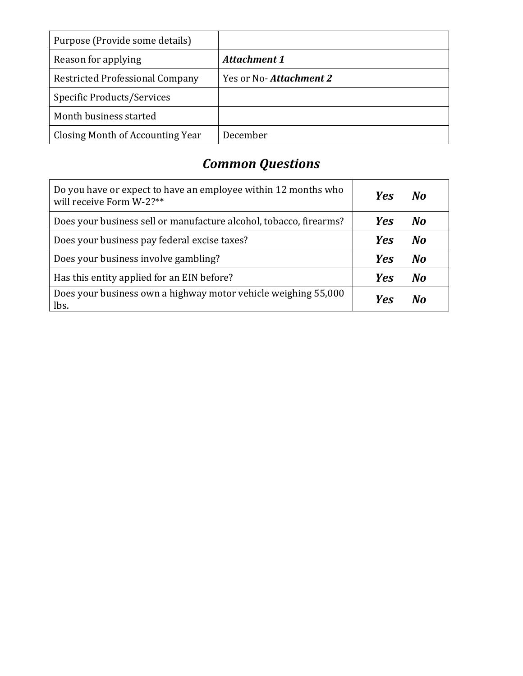| Purpose (Provide some details)         |                        |
|----------------------------------------|------------------------|
| Reason for applying                    | <b>Attachment 1</b>    |
| <b>Restricted Professional Company</b> | Yes or No-Attachment 2 |
| <b>Specific Products/Services</b>      |                        |
| Month business started                 |                        |
| Closing Month of Accounting Year       | December               |

# *Common Questions*

| Do you have or expect to have an employee within 12 months who<br>will receive Form W-2?** | <b>Yes</b> | Nο |
|--------------------------------------------------------------------------------------------|------------|----|
| Does your business sell or manufacture alcohol, tobacco, firearms?                         | <b>Yes</b> | No |
| Does your business pay federal excise taxes?                                               | <b>Yes</b> | No |
| Does your business involve gambling?                                                       | <b>Yes</b> | No |
| Has this entity applied for an EIN before?                                                 | <b>Yes</b> | No |
| Does your business own a highway motor vehicle weighing 55,000<br>lbs.                     | Yes        |    |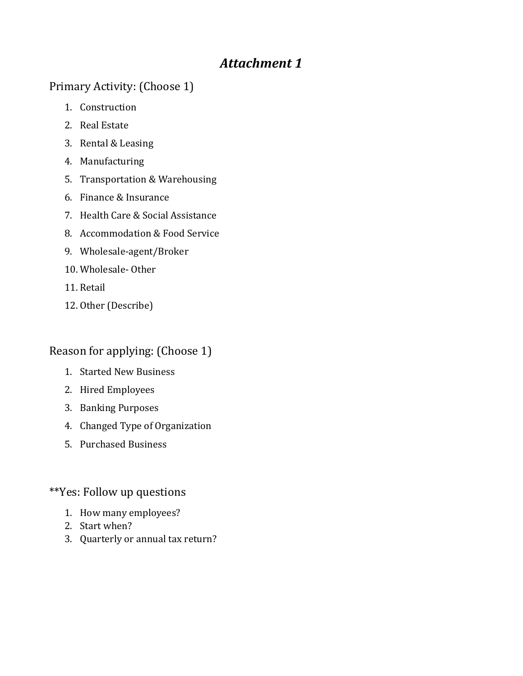### *Attachment 1*

### Primary Activity: (Choose 1)

- 1. Construction
- 2. Real Estate
- 3. Rental & Leasing
- 4. Manufacturing
- 5. Transportation & Warehousing
- 6. Finance & Insurance
- 7. Health Care & Social Assistance
- 8. Accommodation & Food Service
- 9. Wholesale-agent/Broker
- 10. Wholesale- Other
- 11. Retail
- 12. Other (Describe)

### Reason for applying: (Choose 1)

- 1. Started New Business
- 2. Hired Employees
- 3. Banking Purposes
- 4. Changed Type of Organization
- 5. Purchased Business

#### \*\*Yes: Follow up questions

- 1. How many employees?
- 2. Start when?
- 3. Quarterly or annual tax return?